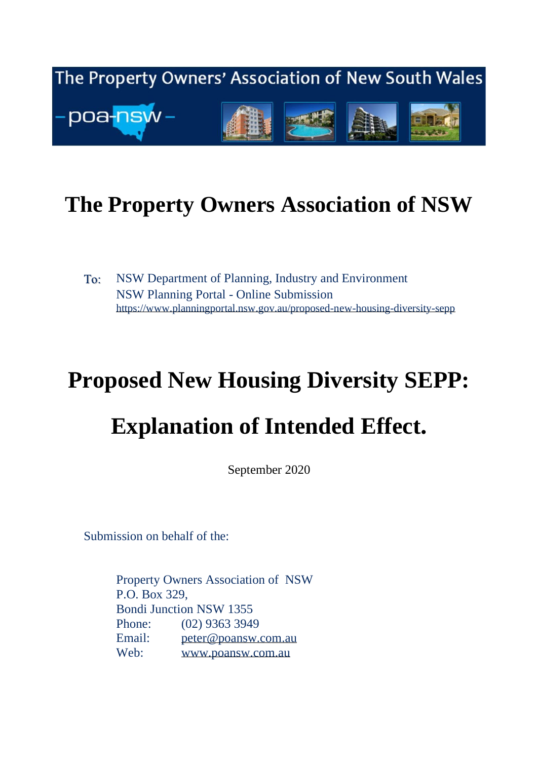

# **The Property Owners Association of NSW**

To: NSW Department of Planning, Industry and Environment NSW Planning Portal - Online Submission <https://www.planningportal.nsw.gov.au/proposed-new-housing-diversity-sepp>

# **Proposed New Housing Diversity SEPP:**

# **Explanation of Intended Effect.**

September 2020

Submission on behalf of the:

Property Owners Association of NSW P.O. Box 329, Bondi Junction NSW 1355 Phone: (02) 9363 3949 Email: [peter@poansw.com.au](mailto:peter@poansw.com.au) Web: [www.poansw.com.au](http://www.poansw.com.au/)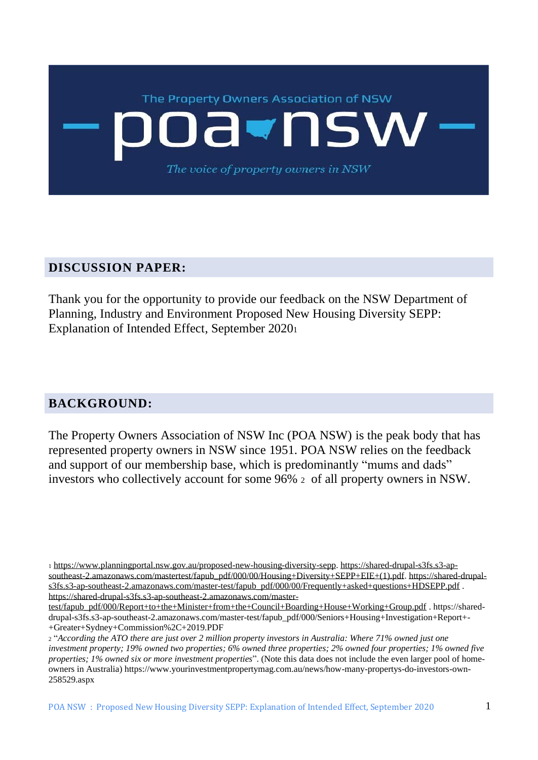

#### **DISCUSSION PAPER:**

Thank you for the opportunity to provide our feedback on the NSW Department of Planning, Industry and Environment Proposed New Housing Diversity SEPP: Explanation of Intended Effect, September 2020<sup>1</sup>

#### **BACKGROUND:**

The Property Owners Association of NSW Inc (POA NSW) is the peak body that has represented property owners in NSW since 1951. POA NSW relies on the feedback and support of our membership base, which is predominantly "mums and dads" investors who collectively account for some 96% <sup>2</sup> of all property owners in NSW.

<sup>1</sup> [https://www.planningportal.nsw.gov.au/proposed-new-housing-diversity-sepp.](https://www.planningportal.nsw.gov.au/proposed-new-housing-diversity-sepp) [https://shared-drupal-s3fs.s3-ap](https://shared-drupal-s3fs.s3-ap-southeast-2.amazonaws.com/mastertest/fapub_pdf/000/00/Housing+Diversity+SEPP+EIE+(1).pdf)[southeast-2.amazonaws.com/mastertest/fapub\\_pdf/000/00/Housing+Diversity+SEPP+EIE+\(1\).pdf.](https://shared-drupal-s3fs.s3-ap-southeast-2.amazonaws.com/mastertest/fapub_pdf/000/00/Housing+Diversity+SEPP+EIE+(1).pdf) [https://shared-drupal](https://shared-drupal-s3fs.s3-ap-southeast-2.amazonaws.com/master-test/fapub_pdf/000/00/Frequently+asked+questions+HDSEPP.pdf)[s3fs.s3-ap-southeast-2.amazonaws.com/master-test/fapub\\_pdf/000/00/Frequently+asked+questions+HDSEPP.pdf](https://shared-drupal-s3fs.s3-ap-southeast-2.amazonaws.com/master-test/fapub_pdf/000/00/Frequently+asked+questions+HDSEPP.pdf) . [https://shared-drupal-s3fs.s3-ap-southeast-2.amazonaws.com/master-](https://shared-drupal-s3fs.s3-ap-southeast-2.amazonaws.com/master-test/fapub_pdf/000/Report+to+the+Minister+from+the+Council+Boarding+House+Working+Group.pdf)

[test/fapub\\_pdf/000/Report+to+the+Minister+from+the+Council+Boarding+House+Working+Group.pdf](https://shared-drupal-s3fs.s3-ap-southeast-2.amazonaws.com/master-test/fapub_pdf/000/Report+to+the+Minister+from+the+Council+Boarding+House+Working+Group.pdf) . https://shareddrupal-s3fs.s3-ap-southeast-2.amazonaws.com/master-test/fapub\_pdf/000/Seniors+Housing+Investigation+Report+- +Greater+Sydney+Commission%2C+2019.PDF

<sup>2</sup> "*According the ATO there are just over 2 million property investors in Australia: Where 71% owned just one investment property; 19% owned two properties; 6% owned three properties; 2% owned four properties; 1% owned five properties; 1% owned six or more investment properties*". (Note this data does not include the even larger pool of homeowners in Australia) https://www.yourinvestmentpropertymag.com.au/news/how-many-propertys-do-investors-own-258529.aspx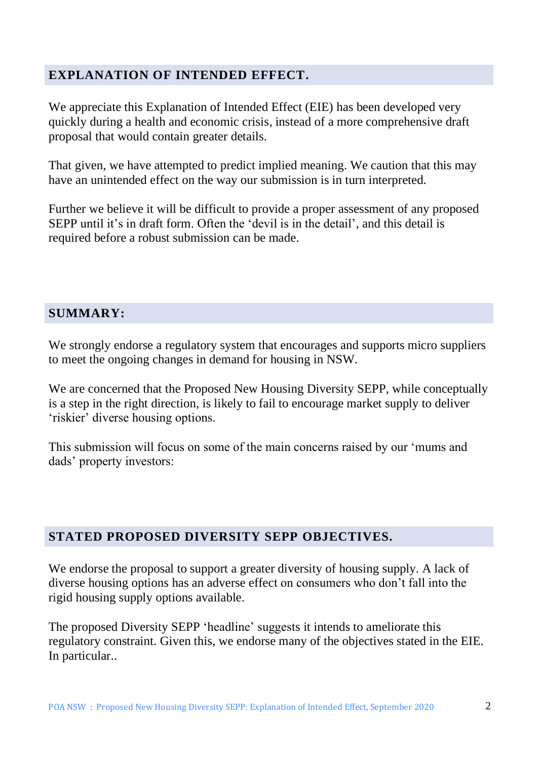#### **EXPLANATION OF INTENDED EFFECT.**

We appreciate this Explanation of Intended Effect (EIE) has been developed very quickly during a health and economic crisis, instead of a more comprehensive draft proposal that would contain greater details.

That given, we have attempted to predict implied meaning. We caution that this may have an unintended effect on the way our submission is in turn interpreted.

Further we believe it will be difficult to provide a proper assessment of any proposed SEPP until it's in draft form. Often the 'devil is in the detail', and this detail is required before a robust submission can be made.

#### **SUMMARY:**

We strongly endorse a regulatory system that encourages and supports micro suppliers to meet the ongoing changes in demand for housing in NSW.

We are concerned that the Proposed New Housing Diversity SEPP, while conceptually is a step in the right direction, is likely to fail to encourage market supply to deliver 'riskier' diverse housing options.

This submission will focus on some of the main concerns raised by our 'mums and dads' property investors:

#### **STATED PROPOSED DIVERSITY SEPP OBJECTIVES.**

We endorse the proposal to support a greater diversity of housing supply. A lack of diverse housing options has an adverse effect on consumers who don't fall into the rigid housing supply options available.

The proposed Diversity SEPP 'headline' suggests it intends to ameliorate this regulatory constraint. Given this, we endorse many of the objectives stated in the EIE. In particular..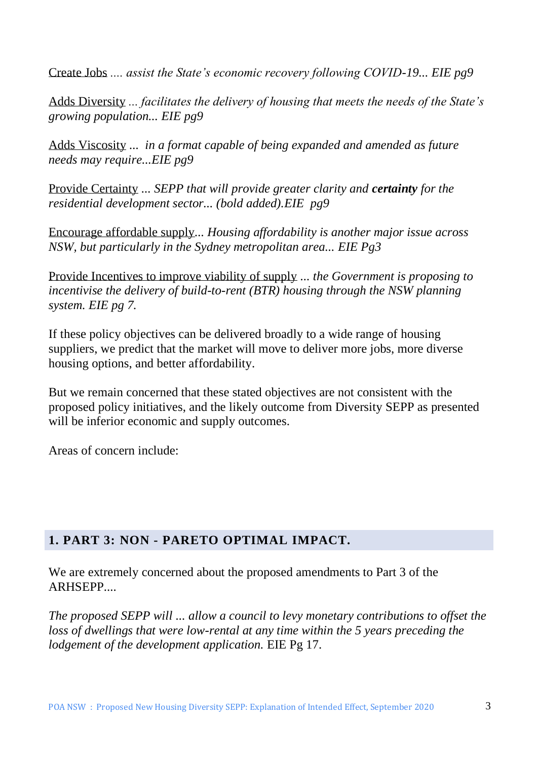Create Jobs *.... assist the State's economic recovery following COVID-19... EIE pg9*

Adds Diversity *... facilitates the delivery of housing that meets the needs of the State's growing population... EIE pg9*

Adds Viscosity *... in a format capable of being expanded and amended as future needs may require...EIE pg9*

Provide Certainty *... SEPP that will provide greater clarity and certainty for the residential development sector... (bold added).EIE pg9*

Encourage affordable supply*... Housing affordability is another major issue across NSW, but particularly in the Sydney metropolitan area... EIE Pg3*

Provide Incentives to improve viability of supply *... the Government is proposing to incentivise the delivery of build-to-rent (BTR) housing through the NSW planning system. EIE pg 7.*

If these policy objectives can be delivered broadly to a wide range of housing suppliers, we predict that the market will move to deliver more jobs, more diverse housing options, and better affordability.

But we remain concerned that these stated objectives are not consistent with the proposed policy initiatives, and the likely outcome from Diversity SEPP as presented will be inferior economic and supply outcomes.

Areas of concern include:

#### **1. PART 3: NON - PARETO OPTIMAL IMPACT.**

We are extremely concerned about the proposed amendments to Part 3 of the ARHSEPP....

*The proposed SEPP will ... allow a council to levy monetary contributions to offset the loss of dwellings that were low-rental at any time within the 5 years preceding the lodgement of the development application.* EIE Pg 17.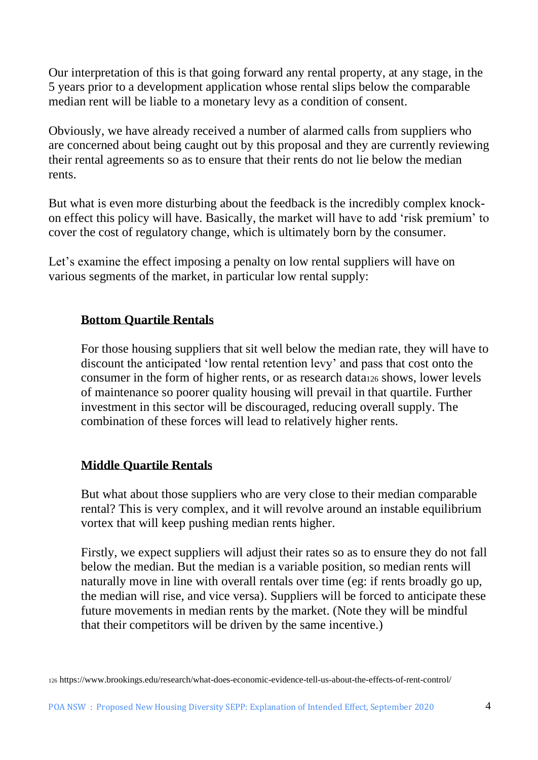Our interpretation of this is that going forward any rental property, at any stage, in the 5 years prior to a development application whose rental slips below the comparable median rent will be liable to a monetary levy as a condition of consent.

Obviously, we have already received a number of alarmed calls from suppliers who are concerned about being caught out by this proposal and they are currently reviewing their rental agreements so as to ensure that their rents do not lie below the median rents.

But what is even more disturbing about the feedback is the incredibly complex knockon effect this policy will have. Basically, the market will have to add 'risk premium' to cover the cost of regulatory change, which is ultimately born by the consumer.

Let's examine the effect imposing a penalty on low rental suppliers will have on various segments of the market, in particular low rental supply:

#### **Bottom Quartile Rentals**

For those housing suppliers that sit well below the median rate, they will have to discount the anticipated 'low rental retention levy' and pass that cost onto the consumer in the form of higher rents, or as research data<sup>126</sup> shows, lower levels of maintenance so poorer quality housing will prevail in that quartile. Further investment in this sector will be discouraged, reducing overall supply. The combination of these forces will lead to relatively higher rents.

#### **Middle Quartile Rentals**

But what about those suppliers who are very close to their median comparable rental? This is very complex, and it will revolve around an instable equilibrium vortex that will keep pushing median rents higher.

Firstly, we expect suppliers will adjust their rates so as to ensure they do not fall below the median. But the median is a variable position, so median rents will naturally move in line with overall rentals over time (eg: if rents broadly go up, the median will rise, and vice versa). Suppliers will be forced to anticipate these future movements in median rents by the market. (Note they will be mindful that their competitors will be driven by the same incentive.)

<sup>126</sup> https://www.brookings.edu/research/what-does-economic-evidence-tell-us-about-the-effects-of-rent-control/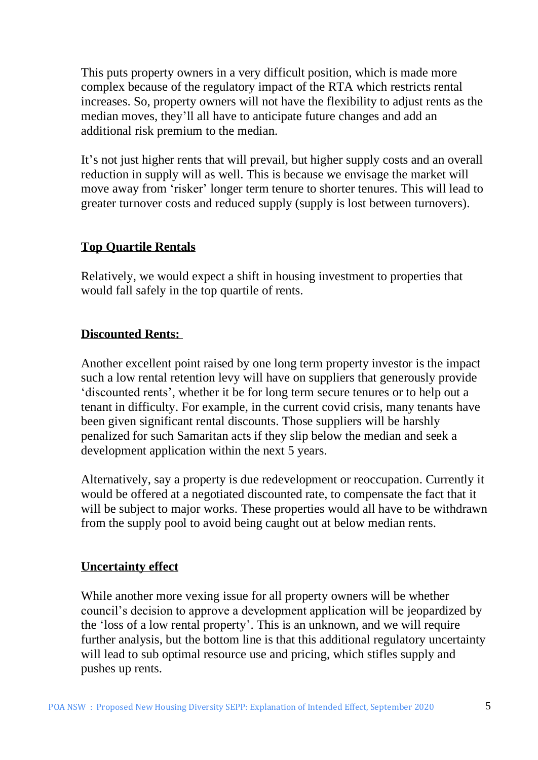This puts property owners in a very difficult position, which is made more complex because of the regulatory impact of the RTA which restricts rental increases. So, property owners will not have the flexibility to adjust rents as the median moves, they'll all have to anticipate future changes and add an additional risk premium to the median.

It's not just higher rents that will prevail, but higher supply costs and an overall reduction in supply will as well. This is because we envisage the market will move away from 'risker' longer term tenure to shorter tenures. This will lead to greater turnover costs and reduced supply (supply is lost between turnovers).

#### **Top Quartile Rentals**

Relatively, we would expect a shift in housing investment to properties that would fall safely in the top quartile of rents.

#### **Discounted Rents:**

Another excellent point raised by one long term property investor is the impact such a low rental retention levy will have on suppliers that generously provide 'discounted rents', whether it be for long term secure tenures or to help out a tenant in difficulty. For example, in the current covid crisis, many tenants have been given significant rental discounts. Those suppliers will be harshly penalized for such Samaritan acts if they slip below the median and seek a development application within the next 5 years.

Alternatively, say a property is due redevelopment or reoccupation. Currently it would be offered at a negotiated discounted rate, to compensate the fact that it will be subject to major works. These properties would all have to be withdrawn from the supply pool to avoid being caught out at below median rents.

#### **Uncertainty effect**

While another more vexing issue for all property owners will be whether council's decision to approve a development application will be jeopardized by the 'loss of a low rental property'. This is an unknown, and we will require further analysis, but the bottom line is that this additional regulatory uncertainty will lead to sub optimal resource use and pricing, which stifles supply and pushes up rents.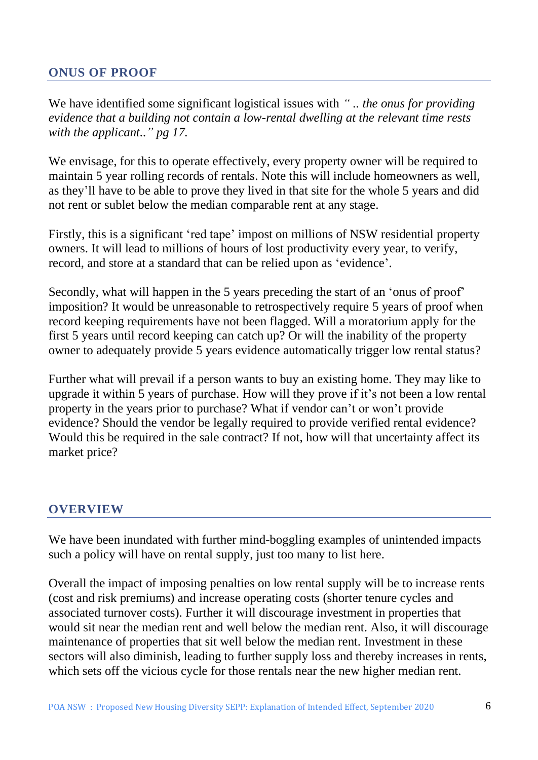#### **ONUS OF PROOF**

We have identified some significant logistical issues with *" .. the onus for providing evidence that a building not contain a low-rental dwelling at the relevant time rests with the applicant.." pg 17.*

We envisage, for this to operate effectively, every property owner will be required to maintain 5 year rolling records of rentals. Note this will include homeowners as well, as they'll have to be able to prove they lived in that site for the whole 5 years and did not rent or sublet below the median comparable rent at any stage.

Firstly, this is a significant 'red tape' impost on millions of NSW residential property owners. It will lead to millions of hours of lost productivity every year, to verify, record, and store at a standard that can be relied upon as 'evidence'.

Secondly, what will happen in the 5 years preceding the start of an 'onus of proof' imposition? It would be unreasonable to retrospectively require 5 years of proof when record keeping requirements have not been flagged. Will a moratorium apply for the first 5 years until record keeping can catch up? Or will the inability of the property owner to adequately provide 5 years evidence automatically trigger low rental status?

Further what will prevail if a person wants to buy an existing home. They may like to upgrade it within 5 years of purchase. How will they prove if it's not been a low rental property in the years prior to purchase? What if vendor can't or won't provide evidence? Should the vendor be legally required to provide verified rental evidence? Would this be required in the sale contract? If not, how will that uncertainty affect its market price?

#### **OVERVIEW**

We have been inundated with further mind-boggling examples of unintended impacts such a policy will have on rental supply, just too many to list here.

Overall the impact of imposing penalties on low rental supply will be to increase rents (cost and risk premiums) and increase operating costs (shorter tenure cycles and associated turnover costs). Further it will discourage investment in properties that would sit near the median rent and well below the median rent. Also, it will discourage maintenance of properties that sit well below the median rent. Investment in these sectors will also diminish, leading to further supply loss and thereby increases in rents, which sets off the vicious cycle for those rentals near the new higher median rent.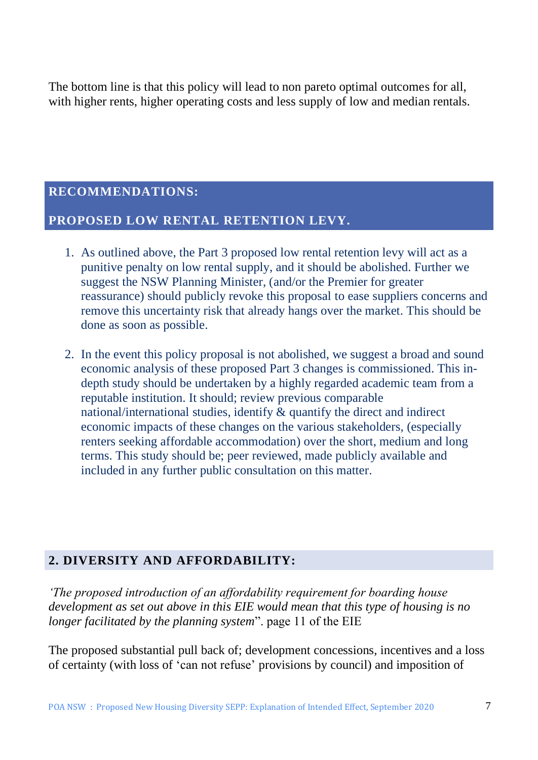The bottom line is that this policy will lead to non pareto optimal outcomes for all, with higher rents, higher operating costs and less supply of low and median rentals.

#### **RECOMMENDATIONS:**

#### **PROPOSED LOW RENTAL RETENTION LEVY.**

- 1. As outlined above, the Part 3 proposed low rental retention levy will act as a punitive penalty on low rental supply, and it should be abolished. Further we suggest the NSW Planning Minister, (and/or the Premier for greater reassurance) should publicly revoke this proposal to ease suppliers concerns and remove this uncertainty risk that already hangs over the market. This should be done as soon as possible.
- 2. In the event this policy proposal is not abolished, we suggest a broad and sound economic analysis of these proposed Part 3 changes is commissioned. This indepth study should be undertaken by a highly regarded academic team from a reputable institution. It should; review previous comparable national/international studies, identify & quantify the direct and indirect economic impacts of these changes on the various stakeholders, (especially renters seeking affordable accommodation) over the short, medium and long terms. This study should be; peer reviewed, made publicly available and included in any further public consultation on this matter.

#### **2. DIVERSITY AND AFFORDABILITY:**

*'The proposed introduction of an affordability requirement for boarding house development as set out above in this EIE would mean that this type of housing is no longer facilitated by the planning system*". page 11 of the EIE

The proposed substantial pull back of; development concessions, incentives and a loss of certainty (with loss of 'can not refuse' provisions by council) and imposition of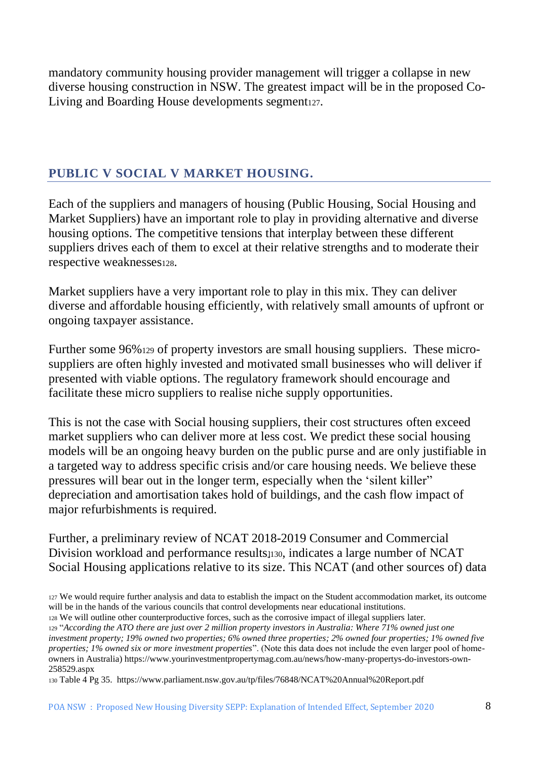mandatory community housing provider management will trigger a collapse in new diverse housing construction in NSW. The greatest impact will be in the proposed Co-Living and Boarding House developments segment<sub>127</sub>.

#### **PUBLIC V SOCIAL V MARKET HOUSING.**

Each of the suppliers and managers of housing (Public Housing, Social Housing and Market Suppliers) have an important role to play in providing alternative and diverse housing options. The competitive tensions that interplay between these different suppliers drives each of them to excel at their relative strengths and to moderate their respective weaknesses128.

Market suppliers have a very important role to play in this mix. They can deliver diverse and affordable housing efficiently, with relatively small amounts of upfront or ongoing taxpayer assistance.

Further some 96%<sup>129</sup> of property investors are small housing suppliers. These microsuppliers are often highly invested and motivated small businesses who will deliver if presented with viable options. The regulatory framework should encourage and facilitate these micro suppliers to realise niche supply opportunities.

This is not the case with Social housing suppliers, their cost structures often exceed market suppliers who can deliver more at less cost. We predict these social housing models will be an ongoing heavy burden on the public purse and are only justifiable in a targeted way to address specific crisis and/or care housing needs. We believe these pressures will bear out in the longer term, especially when the 'silent killer" depreciation and amortisation takes hold of buildings, and the cash flow impact of major refurbishments is required.

Further, a preliminary review of NCAT 2018-2019 Consumer and Commercial Division workload and performance results<sup>130</sup>, indicates a large number of NCAT Social Housing applications relative to its size. This NCAT (and other sources of) data

<sup>130</sup> Table 4 Pg 35. https://www.parliament.nsw.gov.au/tp/files/76848/NCAT%20Annual%20Report.pdf

<sup>127</sup> We would require further analysis and data to establish the impact on the Student accommodation market, its outcome will be in the hands of the various councils that control developments near educational institutions.

<sup>128</sup> We will outline other counterproductive forces, such as the corrosive impact of illegal suppliers later. <sup>129</sup> "*According the ATO there are just over 2 million property investors in Australia: Where 71% owned just one investment property; 19% owned two properties; 6% owned three properties; 2% owned four properties; 1% owned five properties; 1% owned six or more investment properties*". (Note this data does not include the even larger pool of homeowners in Australia) https://www.yourinvestmentpropertymag.com.au/news/how-many-propertys-do-investors-own-258529.aspx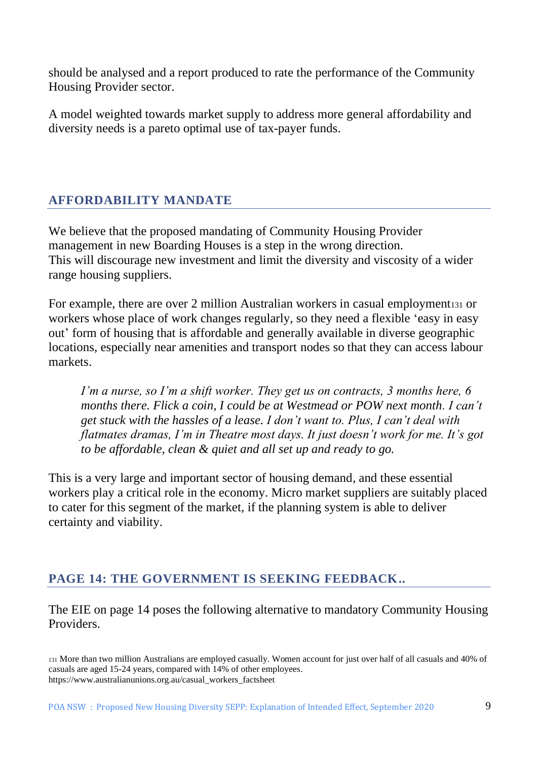should be analysed and a report produced to rate the performance of the Community Housing Provider sector.

A model weighted towards market supply to address more general affordability and diversity needs is a pareto optimal use of tax-payer funds.

## **AFFORDABILITY MANDATE**

We believe that the proposed mandating of Community Housing Provider management in new Boarding Houses is a step in the wrong direction. This will discourage new investment and limit the diversity and viscosity of a wider range housing suppliers.

For example, there are over 2 million Australian workers in casual employment 131 or workers whose place of work changes regularly, so they need a flexible 'easy in easy out' form of housing that is affordable and generally available in diverse geographic locations, especially near amenities and transport nodes so that they can access labour markets.

*I'm a nurse, so I'm a shift worker. They get us on contracts, 3 months here, 6 months there. Flick a coin, I could be at Westmead or POW next month. I can't get stuck with the hassles of a lease. I don't want to. Plus, I can't deal with flatmates dramas, I'm in Theatre most days. It just doesn't work for me. It's got to be affordable, clean & quiet and all set up and ready to go.*

This is a very large and important sector of housing demand, and these essential workers play a critical role in the economy. Micro market suppliers are suitably placed to cater for this segment of the market, if the planning system is able to deliver certainty and viability.

### **PAGE 14: THE GOVERNMENT IS SEEKING FEEDBACK..**

The EIE on page 14 poses the following alternative to mandatory Community Housing Providers.

<sup>131</sup> More than two million Australians are employed casually. Women account for just over half of all casuals and 40% of casuals are aged 15-24 years, compared with 14% of other employees. https://www.australianunions.org.au/casual\_workers\_factsheet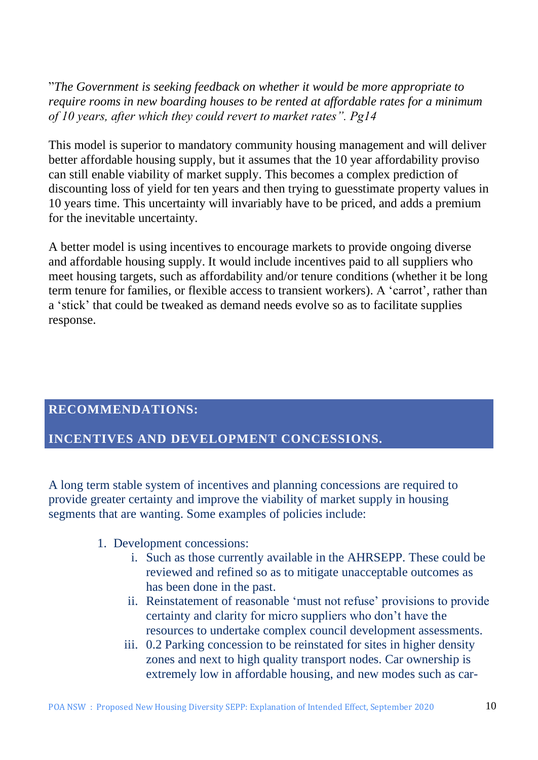"*The Government is seeking feedback on whether it would be more appropriate to require rooms in new boarding houses to be rented at affordable rates for a minimum of 10 years, after which they could revert to market rates". Pg14*

This model is superior to mandatory community housing management and will deliver better affordable housing supply, but it assumes that the 10 year affordability proviso can still enable viability of market supply. This becomes a complex prediction of discounting loss of yield for ten years and then trying to guesstimate property values in 10 years time. This uncertainty will invariably have to be priced, and adds a premium for the inevitable uncertainty*.* 

A better model is using incentives to encourage markets to provide ongoing diverse and affordable housing supply. It would include incentives paid to all suppliers who meet housing targets, such as affordability and/or tenure conditions (whether it be long term tenure for families, or flexible access to transient workers). A 'carrot', rather than a 'stick' that could be tweaked as demand needs evolve so as to facilitate supplies response.

#### **RECOMMENDATIONS:**

#### **INCENTIVES AND DEVELOPMENT CONCESSIONS.**

A long term stable system of incentives and planning concessions are required to provide greater certainty and improve the viability of market supply in housing segments that are wanting. Some examples of policies include:

- 1. Development concessions:
	- i. Such as those currently available in the AHRSEPP. These could be reviewed and refined so as to mitigate unacceptable outcomes as has been done in the past.
	- ii. Reinstatement of reasonable 'must not refuse' provisions to provide certainty and clarity for micro suppliers who don't have the resources to undertake complex council development assessments.
	- iii. 0.2 Parking concession to be reinstated for sites in higher density zones and next to high quality transport nodes. Car ownership is extremely low in affordable housing, and new modes such as car-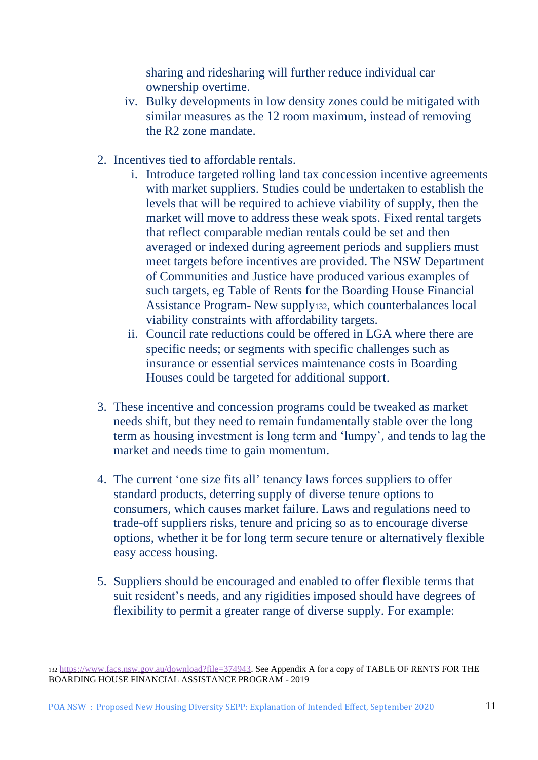sharing and ridesharing will further reduce individual car ownership overtime.

- iv. Bulky developments in low density zones could be mitigated with similar measures as the 12 room maximum, instead of removing the R2 zone mandate.
- 2. Incentives tied to affordable rentals.
	- i. Introduce targeted rolling land tax concession incentive agreements with market suppliers. Studies could be undertaken to establish the levels that will be required to achieve viability of supply, then the market will move to address these weak spots. Fixed rental targets that reflect comparable median rentals could be set and then averaged or indexed during agreement periods and suppliers must meet targets before incentives are provided. The NSW Department of Communities and Justice have produced various examples of such targets, eg Table of Rents for the Boarding House Financial Assistance Program- New supply132, which counterbalances local viability constraints with affordability targets.
	- ii. Council rate reductions could be offered in LGA where there are specific needs; or segments with specific challenges such as insurance or essential services maintenance costs in Boarding Houses could be targeted for additional support.
- 3. These incentive and concession programs could be tweaked as market needs shift, but they need to remain fundamentally stable over the long term as housing investment is long term and 'lumpy', and tends to lag the market and needs time to gain momentum.
- 4. The current 'one size fits all' tenancy laws forces suppliers to offer standard products, deterring supply of diverse tenure options to consumers, which causes market failure. Laws and regulations need to trade-off suppliers risks, tenure and pricing so as to encourage diverse options, whether it be for long term secure tenure or alternatively flexible easy access housing.
- 5. Suppliers should be encouraged and enabled to offer flexible terms that suit resident's needs, and any rigidities imposed should have degrees of flexibility to permit a greater range of diverse supply. For example:

<sup>132</sup> [https://www.facs.nsw.gov.au/download?file=374943.](https://www.facs.nsw.gov.au/download?file=374943) See Appendix A for a copy of TABLE OF RENTS FOR THE BOARDING HOUSE FINANCIAL ASSISTANCE PROGRAM - 2019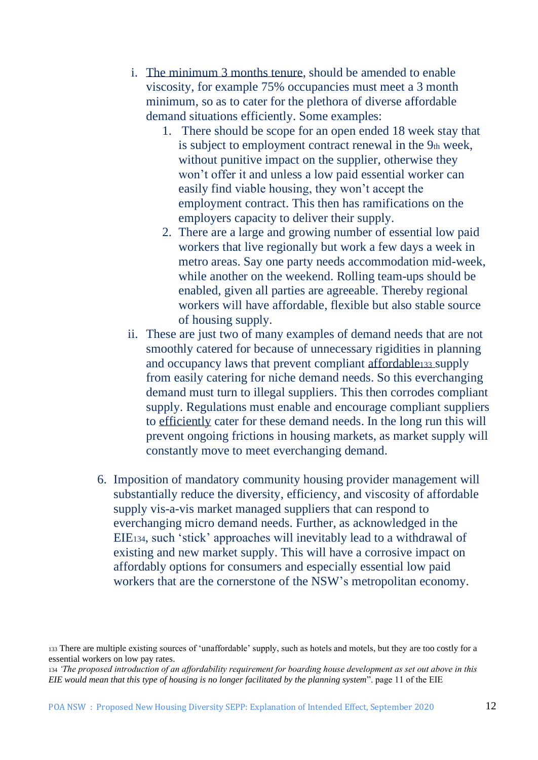- i. The minimum 3 months tenure, should be amended to enable viscosity, for example 75% occupancies must meet a 3 month minimum, so as to cater for the plethora of diverse affordable demand situations efficiently. Some examples:
	- 1. There should be scope for an open ended 18 week stay that is subject to employment contract renewal in the 9th week, without punitive impact on the supplier, otherwise they won't offer it and unless a low paid essential worker can easily find viable housing, they won't accept the employment contract. This then has ramifications on the employers capacity to deliver their supply.
	- 2. There are a large and growing number of essential low paid workers that live regionally but work a few days a week in metro areas. Say one party needs accommodation mid-week, while another on the weekend. Rolling team-ups should be enabled, given all parties are agreeable. Thereby regional workers will have affordable, flexible but also stable source of housing supply.
- ii. These are just two of many examples of demand needs that are not smoothly catered for because of unnecessary rigidities in planning and occupancy laws that prevent compliant affordable<sup>133</sup> supply from easily catering for niche demand needs. So this everchanging demand must turn to illegal suppliers. This then corrodes compliant supply. Regulations must enable and encourage compliant suppliers to efficiently cater for these demand needs. In the long run this will prevent ongoing frictions in housing markets, as market supply will constantly move to meet everchanging demand.
- 6. Imposition of mandatory community housing provider management will substantially reduce the diversity, efficiency, and viscosity of affordable supply vis-a-vis market managed suppliers that can respond to everchanging micro demand needs. Further, as acknowledged in the EIE134, such 'stick' approaches will inevitably lead to a withdrawal of existing and new market supply. This will have a corrosive impact on affordably options for consumers and especially essential low paid workers that are the cornerstone of the NSW's metropolitan economy.

<sup>133</sup> There are multiple existing sources of 'unaffordable' supply, such as hotels and motels, but they are too costly for a essential workers on low pay rates.

<sup>134</sup> *'The proposed introduction of an affordability requirement for boarding house development as set out above in this EIE would mean that this type of housing is no longer facilitated by the planning system*". page 11 of the EIE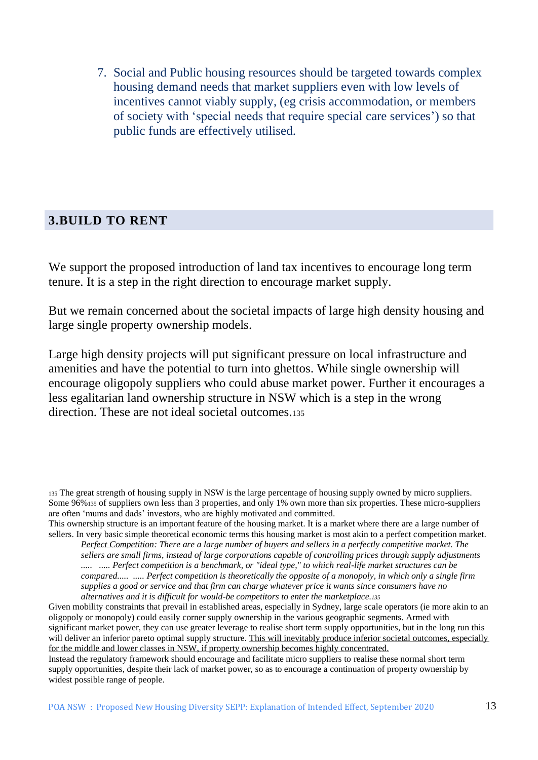7. Social and Public housing resources should be targeted towards complex housing demand needs that market suppliers even with low levels of incentives cannot viably supply, (eg crisis accommodation, or members of society with 'special needs that require special care services') so that public funds are effectively utilised.

#### **3.BUILD TO RENT**

We support the proposed introduction of land tax incentives to encourage long term tenure. It is a step in the right direction to encourage market supply.

But we remain concerned about the societal impacts of large high density housing and large single property ownership models.

Large high density projects will put significant pressure on local infrastructure and amenities and have the potential to turn into ghettos. While single ownership will encourage oligopoly suppliers who could abuse market power. Further it encourages a less egalitarian land ownership structure in NSW which is a step in the wrong direction. These are not ideal societal outcomes.<sup>135</sup>

<sup>135</sup> The great strength of housing supply in NSW is the large percentage of housing supply owned by micro suppliers. Some 96%<sup>135</sup> of suppliers own less than 3 properties, and only 1% own more than six properties. These micro-suppliers are often 'mums and dads' investors, who are highly motivated and committed.

This ownership structure is an important feature of the housing market. It is a market where there are a large number of sellers. In very basic simple theoretical economic terms this housing market is most akin to a perfect competition market.

*Perfect Competition: There are a large number of buyers and sellers in a perfectly competitive market. The sellers are small firms, instead of large corporations capable of controlling prices through supply adjustments ..... ..... Perfect competition is a benchmark, or "ideal type," to which real-life market structures can be compared..... ..... [Perfect competition is theoretically the opposite](https://www.investopedia.com/ask/answers/040915/what-difference-between-monopolistic-market-and-perfect-competition.asp) of [a monopoly,](https://www.investopedia.com/terms/m/monopoly.asp) in which only a single firm supplies a good or service and that firm can charge whatever price it wants since consumers have no alternatives and it is difficult for would-be competitors to enter the marketplace.<sup>135</sup>*

Given mobility constraints that prevail in established areas, especially in Sydney, large scale operators (ie more akin to an oligopoly or monopoly) could easily corner supply ownership in the various geographic segments. Armed with significant market power, they can use greater leverage to realise short term supply opportunities, but in the long run this will deliver an inferior pareto optimal supply structure. This will inevitably produce inferior societal outcomes, especially for the middle and lower classes in NSW, if property ownership becomes highly concentrated.

Instead the regulatory framework should encourage and facilitate micro suppliers to realise these normal short term supply opportunities, despite their lack of market power, so as to encourage a continuation of property ownership by widest possible range of people.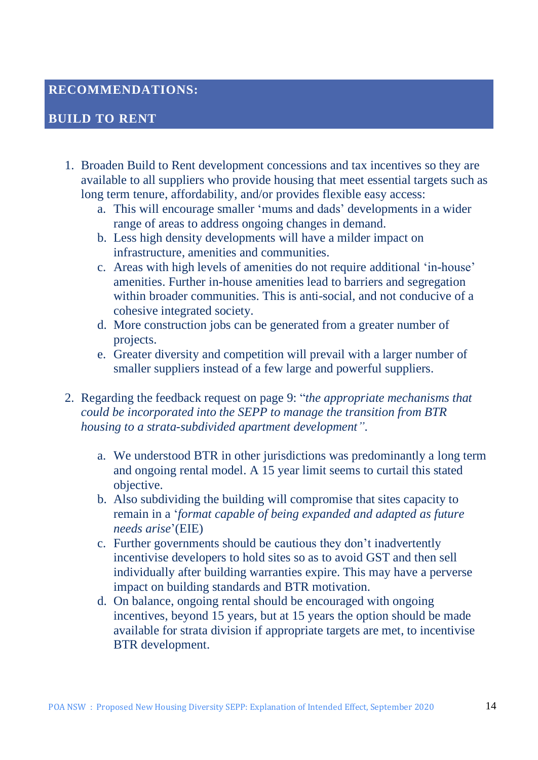#### **RECOMMENDATIONS:**

#### **BUILD TO RENT**

- 1. Broaden Build to Rent development concessions and tax incentives so they are available to all suppliers who provide housing that meet essential targets such as long term tenure, affordability, and/or provides flexible easy access:
	- a. This will encourage smaller 'mums and dads' developments in a wider range of areas to address ongoing changes in demand.
	- b. Less high density developments will have a milder impact on infrastructure, amenities and communities.
	- c. Areas with high levels of amenities do not require additional 'in-house' amenities. Further in-house amenities lead to barriers and segregation within broader communities. This is anti-social, and not conducive of a cohesive integrated society.
	- d. More construction jobs can be generated from a greater number of projects.
	- e. Greater diversity and competition will prevail with a larger number of smaller suppliers instead of a few large and powerful suppliers.
- 2. Regarding the feedback request on page 9: "*the appropriate mechanisms that could be incorporated into the SEPP to manage the transition from BTR housing to a strata-subdivided apartment development"*.
	- a. We understood BTR in other jurisdictions was predominantly a long term and ongoing rental model. A 15 year limit seems to curtail this stated objective.
	- b. Also subdividing the building will compromise that sites capacity to remain in a '*format capable of being expanded and adapted as future needs arise*'(EIE)
	- c. Further governments should be cautious they don't inadvertently incentivise developers to hold sites so as to avoid GST and then sell individually after building warranties expire. This may have a perverse impact on building standards and BTR motivation.
	- d. On balance, ongoing rental should be encouraged with ongoing incentives, beyond 15 years, but at 15 years the option should be made available for strata division if appropriate targets are met, to incentivise BTR development.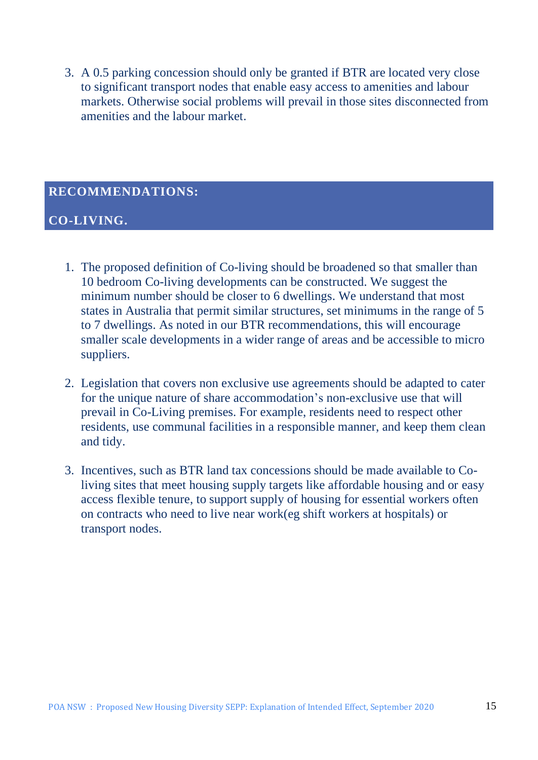3. A 0.5 parking concession should only be granted if BTR are located very close to significant transport nodes that enable easy access to amenities and labour markets. Otherwise social problems will prevail in those sites disconnected from amenities and the labour market.

### **RECOMMENDATIONS:**

#### **CO-LIVING.**

- 1. The proposed definition of Co-living should be broadened so that smaller than 10 bedroom Co-living developments can be constructed. We suggest the minimum number should be closer to 6 dwellings. We understand that most states in Australia that permit similar structures, set minimums in the range of 5 to 7 dwellings. As noted in our BTR recommendations, this will encourage smaller scale developments in a wider range of areas and be accessible to micro suppliers.
- 2. Legislation that covers non exclusive use agreements should be adapted to cater for the unique nature of share accommodation's non-exclusive use that will prevail in Co-Living premises. For example, residents need to respect other residents, use communal facilities in a responsible manner, and keep them clean and tidy.
- 3. Incentives, such as BTR land tax concessions should be made available to Coliving sites that meet housing supply targets like affordable housing and or easy access flexible tenure, to support supply of housing for essential workers often on contracts who need to live near work(eg shift workers at hospitals) or transport nodes.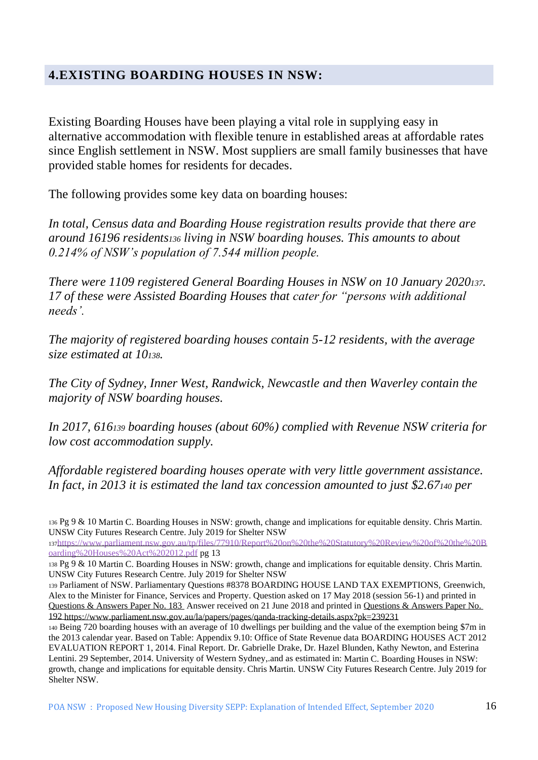#### **4.EXISTING BOARDING HOUSES IN NSW:**

Existing Boarding Houses have been playing a vital role in supplying easy in alternative accommodation with flexible tenure in established areas at affordable rates since English settlement in NSW. Most suppliers are small family businesses that have provided stable homes for residents for decades.

The following provides some key data on boarding houses:

*In total, Census data and Boarding House registration results provide that there are around 16196 residents<sup>136</sup> living in NSW boarding houses. This amounts to about 0.214% of NSW's population of 7.544 million people.*

*There were 1109 registered General Boarding Houses in NSW on 10 January 2020137. 17 of these were Assisted Boarding Houses that cater for "persons with additional needs'.*

*The majority of registered boarding houses contain 5-12 residents, with the average size estimated at 10138.*

*The City of Sydney, Inner West, Randwick, Newcastle and then Waverley contain the majority of NSW boarding houses.* 

*In 2017, 616<sup>139</sup> boarding houses (about 60%) complied with Revenue NSW criteria for low cost accommodation supply.* 

*Affordable registered boarding houses operate with very little government assistance. In fact, in 2013 it is estimated the land tax concession amounted to just \$2.67<sup>140</sup> per* 

<sup>137</sup>[https://www.parliament.nsw.gov.au/tp/files/77910/Report%20on%20the%20Statutory%20Review%20of%20the%20B](https://www.parliament.nsw.gov.au/tp/files/77910/Report%20on%20the%20Statutory%20Review%20of%20the%20Boarding%20Houses%20Act%202012.pdf) [oarding%20Houses%20Act%202012.pdf](https://www.parliament.nsw.gov.au/tp/files/77910/Report%20on%20the%20Statutory%20Review%20of%20the%20Boarding%20Houses%20Act%202012.pdf) pg 13

<sup>136</sup> Pg 9 & 10 Martin C. Boarding Houses in NSW: growth, change and implications for equitable density. Chris Martin. UNSW City Futures Research Centre. July 2019 for Shelter NSW

<sup>138</sup> Pg 9 & 10 Martin C. Boarding Houses in NSW: growth, change and implications for equitable density. Chris Martin. UNSW City Futures Research Centre. July 2019 for Shelter NSW

<sup>139</sup> Parliament of NSW. Parliamentary Questions #8378 BOARDING HOUSE LAND TAX EXEMPTIONS, Greenwich, Alex to the Minister for Finance, Services and Property. Question asked on 17 May 2018 (session 56-1) and printed in [Questions & Answers Paper No. 183](https://www.parliament.nsw.gov.au/la/papers/Documents/2018/17-may-2018-questions-and-answers/183-QandA-P.pdf) Answer received on 21 June 2018 and printed in [Questions & Answers Paper No.](https://www.parliament.nsw.gov.au/la/papers/Documents/2018/21-june-2018-questions-and-answers/192-QandA-P.pdf)  [192](https://www.parliament.nsw.gov.au/la/papers/Documents/2018/21-june-2018-questions-and-answers/192-QandA-P.pdf) <https://www.parliament.nsw.gov.au/la/papers/pages/qanda-tracking-details.aspx?pk=239231>

<sup>140</sup> Being 720 boarding houses with an average of 10 dwellings per building and the value of the exemption being \$7m in the 2013 calendar year. Based on Table: Appendix 9.10: Office of State Revenue data BOARDING HOUSES ACT 2012 EVALUATION REPORT 1, 2014. Final Report. Dr. Gabrielle Drake, Dr. Hazel Blunden, Kathy Newton, and Esterina Lentini. 29 September, 2014. University of Western Sydney,.and as estimated in: Martin C. Boarding Houses in NSW: growth, change and implications for equitable density. Chris Martin. UNSW City Futures Research Centre. July 2019 for Shelter NSW.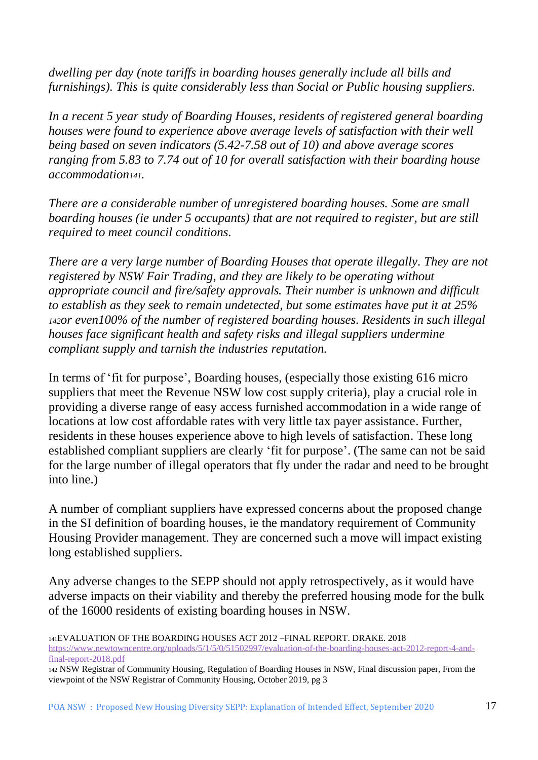*dwelling per day (note tariffs in boarding houses generally include all bills and furnishings). This is quite considerably less than Social or Public housing suppliers.*

*In a recent 5 year study of Boarding Houses, residents of registered general boarding houses were found to experience above average levels of satisfaction with their well being based on seven indicators (5.42-7.58 out of 10) and above average scores ranging from 5.83 to 7.74 out of 10 for overall satisfaction with their boarding house accommodation141.*

*There are a considerable number of unregistered boarding houses. Some are small boarding houses (ie under 5 occupants) that are not required to register, but are still required to meet council conditions.*

*There are a very large number of Boarding Houses that operate illegally. They are not registered by NSW Fair Trading, and they are likely to be operating without appropriate council and fire/safety approvals. Their number is unknown and difficult to establish as they seek to remain undetected, but some estimates have put it at 25% <sup>142</sup>or even100% of the number of registered boarding houses. Residents in such illegal houses face significant health and safety risks and illegal suppliers undermine compliant supply and tarnish the industries reputation.*

In terms of 'fit for purpose', Boarding houses, (especially those existing 616 micro suppliers that meet the Revenue NSW low cost supply criteria), play a crucial role in providing a diverse range of easy access furnished accommodation in a wide range of locations at low cost affordable rates with very little tax payer assistance. Further, residents in these houses experience above to high levels of satisfaction. These long established compliant suppliers are clearly 'fit for purpose'. (The same can not be said for the large number of illegal operators that fly under the radar and need to be brought into line.)

A number of compliant suppliers have expressed concerns about the proposed change in the SI definition of boarding houses, ie the mandatory requirement of Community Housing Provider management. They are concerned such a move will impact existing long established suppliers.

Any adverse changes to the SEPP should not apply retrospectively, as it would have adverse impacts on their viability and thereby the preferred housing mode for the bulk of the 16000 residents of existing boarding houses in NSW.

<sup>141</sup>EVALUATION OF THE BOARDING HOUSES ACT 2012 –FINAL REPORT. DRAKE. 2018

[https://www.newtowncentre.org/uploads/5/1/5/0/51502997/evaluation-of-the-boarding-houses-act-2012-report-4-and](https://www.newtowncentre.org/uploads/5/1/5/0/51502997/evaluation-of-the-boarding-houses-act-2012-report-4-and-final-report-2018.pdf)[final-report-2018.pdf](https://www.newtowncentre.org/uploads/5/1/5/0/51502997/evaluation-of-the-boarding-houses-act-2012-report-4-and-final-report-2018.pdf)

<sup>142</sup> NSW Registrar of Community Housing, Regulation of Boarding Houses in NSW, Final discussion paper, From the viewpoint of the NSW Registrar of Community Housing, October 2019, pg 3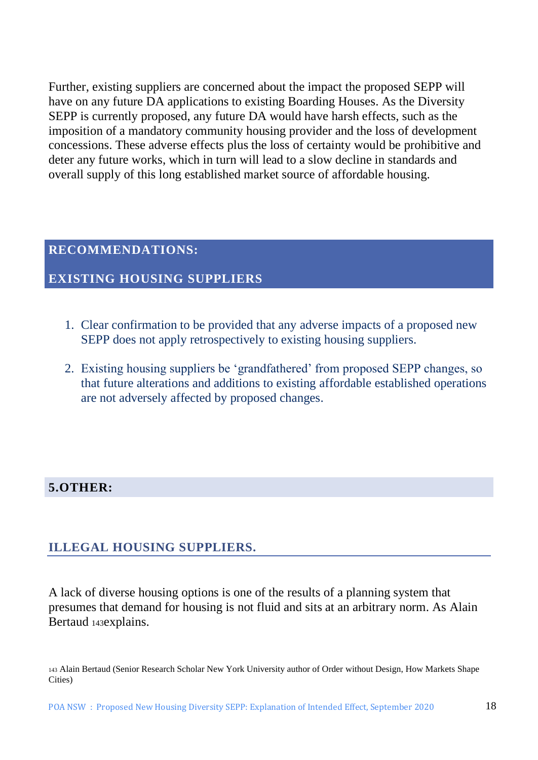Further, existing suppliers are concerned about the impact the proposed SEPP will have on any future DA applications to existing Boarding Houses. As the Diversity SEPP is currently proposed, any future DA would have harsh effects, such as the imposition of a mandatory community housing provider and the loss of development concessions. These adverse effects plus the loss of certainty would be prohibitive and deter any future works, which in turn will lead to a slow decline in standards and overall supply of this long established market source of affordable housing.

#### **RECOMMENDATIONS:**

#### **EXISTING HOUSING SUPPLIERS**

- 1. Clear confirmation to be provided that any adverse impacts of a proposed new SEPP does not apply retrospectively to existing housing suppliers.
- 2. Existing housing suppliers be 'grandfathered' from proposed SEPP changes, so that future alterations and additions to existing affordable established operations are not adversely affected by proposed changes.

#### **5.OTHER:**

#### **ILLEGAL HOUSING SUPPLIERS.**

A lack of diverse housing options is one of the results of a planning system that presumes that demand for housing is not fluid and sits at an arbitrary norm. As Alain Bertaud 143explains.

<sup>143</sup> Alain Bertaud (Senior Research Scholar New York University author of Order without Design, How Markets Shape Cities)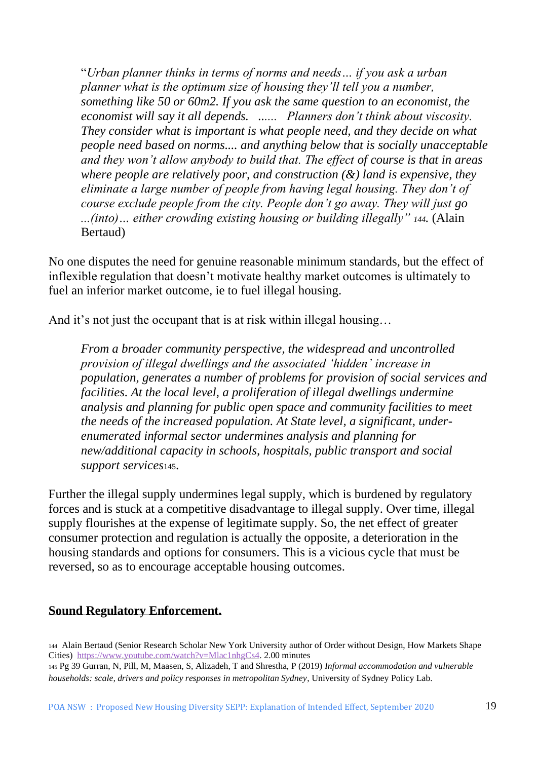"*Urban planner thinks in terms of norms and needs… if you ask a urban planner what is the optimum size of housing they'll tell you a number, something like 50 or 60m2. If you ask the same question to an economist, the economist will say it all depends. ...... Planners don't think about viscosity. They consider what is important is what people need, and they decide on what people need based on norms.... and anything below that is socially unacceptable and they won't allow anybody to build that. The effect of course is that in areas where people are relatively poor, and construction (&) land is expensive, they eliminate a large number of people from having legal housing. They don't of course exclude people from the city. People don't go away. They will just go ...(into)… either crowding existing housing or building illegally" 144.* (Alain Bertaud)

No one disputes the need for genuine reasonable minimum standards, but the effect of inflexible regulation that doesn't motivate healthy market outcomes is ultimately to fuel an inferior market outcome, ie to fuel illegal housing.

And it's not just the occupant that is at risk within illegal housing…

*From a broader community perspective, the widespread and uncontrolled provision of illegal dwellings and the associated 'hidden' increase in population, generates a number of problems for provision of social services and facilities. At the local level, a proliferation of illegal dwellings undermine analysis and planning for public open space and community facilities to meet the needs of the increased population. At State level, a significant, underenumerated informal sector undermines analysis and planning for new/additional capacity in schools, hospitals, public transport and social support services*145.

Further the illegal supply undermines legal supply, which is burdened by regulatory forces and is stuck at a competitive disadvantage to illegal supply. Over time, illegal supply flourishes at the expense of legitimate supply. So, the net effect of greater consumer protection and regulation is actually the opposite, a deterioration in the housing standards and options for consumers. This is a vicious cycle that must be reversed, so as to encourage acceptable housing outcomes.

#### **Sound Regulatory Enforcement.**

<sup>145</sup> Pg 39 Gurran, N, Pill, M, Maasen, S, Alizadeh, T and Shrestha, P (2019) *Informal accommodation and vulnerable households: scale, drivers and policy responses in metropolitan Sydney*, University of Sydney Policy Lab.

<sup>144</sup> Alain Bertaud (Senior Research Scholar New York University author of Order without Design, How Markets Shape Cities) [https://www.youtube.com/watch?v=Mlac1nhgCs4.](https://www.youtube.com/watch?v=Mlac1nhgCs4) 2.00 minutes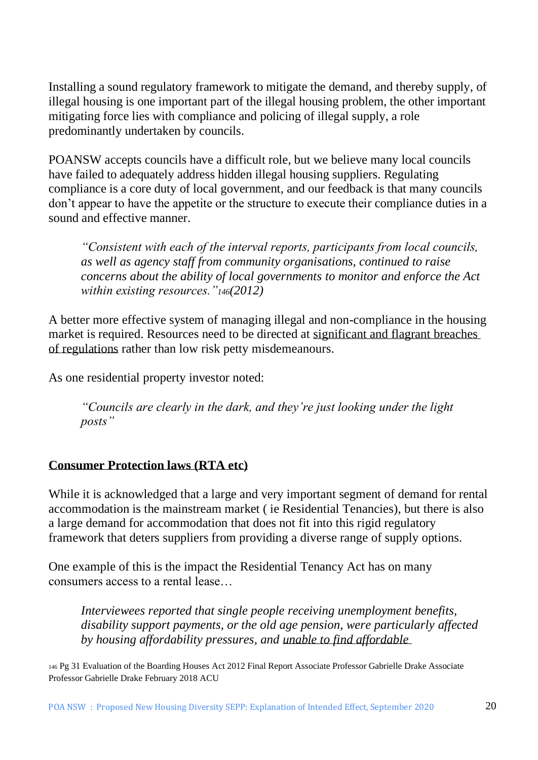Installing a sound regulatory framework to mitigate the demand, and thereby supply, of illegal housing is one important part of the illegal housing problem, the other important mitigating force lies with compliance and policing of illegal supply, a role predominantly undertaken by councils.

POANSW accepts councils have a difficult role, but we believe many local councils have failed to adequately address hidden illegal housing suppliers. Regulating compliance is a core duty of local government, and our feedback is that many councils don't appear to have the appetite or the structure to execute their compliance duties in a sound and effective manner.

*"Consistent with each of the interval reports, participants from local councils, as well as agency staff from community organisations, continued to raise concerns about the ability of local governments to monitor and enforce the Act within existing resources."146(2012)*

A better more effective system of managing illegal and non-compliance in the housing market is required. Resources need to be directed at significant and flagrant breaches of regulations rather than low risk petty misdemeanours.

As one residential property investor noted:

*"Councils are clearly in the dark, and they're just looking under the light posts"*

#### **Consumer Protection laws (RTA etc)**

While it is acknowledged that a large and very important segment of demand for rental accommodation is the mainstream market ( ie Residential Tenancies), but there is also a large demand for accommodation that does not fit into this rigid regulatory framework that deters suppliers from providing a diverse range of supply options.

One example of this is the impact the Residential Tenancy Act has on many consumers access to a rental lease…

*Interviewees reported that single people receiving unemployment benefits, disability support payments, or the old age pension, were particularly affected by housing affordability pressures, and unable to find affordable* 

<sup>146</sup> Pg 31 Evaluation of the Boarding Houses Act 2012 Final Report Associate Professor Gabrielle Drake Associate Professor Gabrielle Drake February 2018 ACU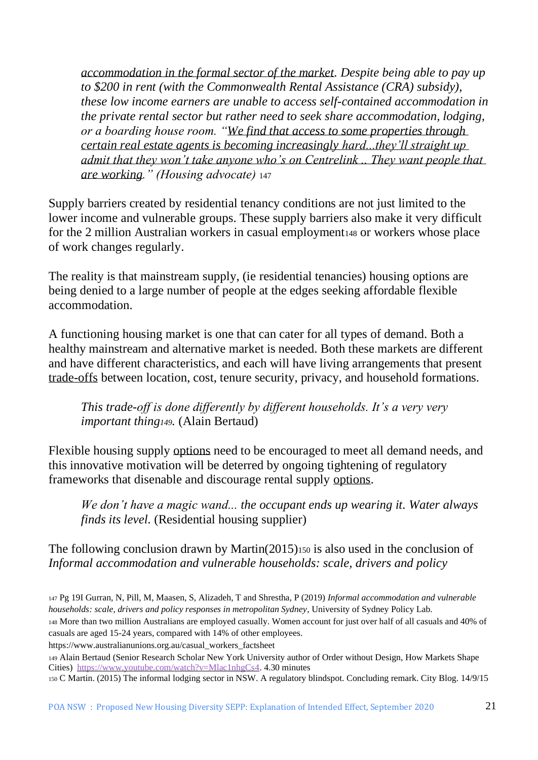*accommodation in the formal sector of the market. Despite being able to pay up to \$200 in rent (with the Commonwealth Rental Assistance (CRA) subsidy), these low income earners are unable to access self-contained accommodation in the private rental sector but rather need to seek share accommodation, lodging, or a boarding house room. "We find that access to some properties through certain real estate agents is becoming increasingly hard...they'll straight up admit that they won't take anyone who's on Centrelink .. They want people that are working." (Housing advocate)* <sup>147</sup>

Supply barriers created by residential tenancy conditions are not just limited to the lower income and vulnerable groups. These supply barriers also make it very difficult for the 2 million Australian workers in casual employment 148 or workers whose place of work changes regularly.

The reality is that mainstream supply, (ie residential tenancies) housing options are being denied to a large number of people at the edges seeking affordable flexible accommodation.

A functioning housing market is one that can cater for all types of demand. Both a healthy mainstream and alternative market is needed. Both these markets are different and have different characteristics, and each will have living arrangements that present trade-offs between location, cost, tenure security, privacy, and household formations.

*This trade-off is done differently by different households. It's a very very important thing149.* (Alain Bertaud)

Flexible housing supply options need to be encouraged to meet all demand needs, and this innovative motivation will be deterred by ongoing tightening of regulatory frameworks that disenable and discourage rental supply options.

*We don't have a magic wand... the occupant ends up wearing it. Water always finds its level.* (Residential housing supplier)

The following conclusion drawn by Martin(2015)<sup>150</sup> is also used in the conclusion of *Informal accommodation and vulnerable households: scale, drivers and policy* 

https://www.australianunions.org.au/casual\_workers\_factsheet

<sup>147</sup> Pg 19I Gurran, N, Pill, M, Maasen, S, Alizadeh, T and Shrestha, P (2019) *Informal accommodation and vulnerable households: scale, drivers and policy responses in metropolitan Sydney*, University of Sydney Policy Lab. <sup>148</sup> More than two million Australians are employed casually. Women account for just over half of all casuals and 40% of casuals are aged 15-24 years, compared with 14% of other employees.

<sup>149</sup> Alain Bertaud (Senior Research Scholar New York University author of Order without Design, How Markets Shape Cities) [https://www.youtube.com/watch?v=Mlac1nhgCs4.](https://www.youtube.com/watch?v=Mlac1nhgCs4) 4.30 minutes

<sup>150</sup> C Martin. (2015) The informal lodging sector in NSW. A regulatory blindspot. Concluding remark. City Blog. 14/9/15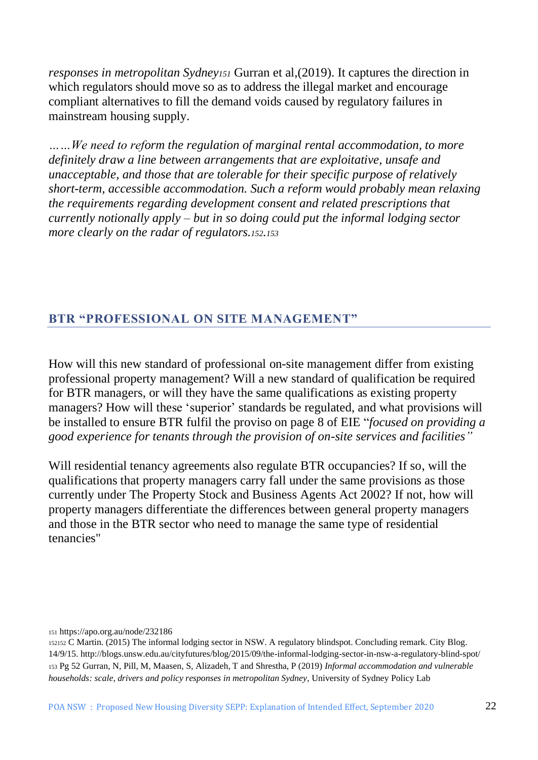*responses in metropolitan Sydney<sup>151</sup>* Gurran et al,(2019). It captures the direction in which regulators should move so as to address the illegal market and encourage compliant alternatives to fill the demand voids caused by regulatory failures in mainstream housing supply.

*……We need to reform the regulation of marginal rental accommodation, to more definitely draw a line between arrangements that are exploitative, unsafe and unacceptable, and those that are tolerable for their specific purpose of relatively short-term, accessible accommodation. Such a reform would probably mean relaxing the requirements regarding development consent and related prescriptions that currently notionally apply – but in so doing could put the informal lodging sector more clearly on the radar of regulators.152.<sup>153</sup>*

#### **BTR "PROFESSIONAL ON SITE MANAGEMENT"**

How will this new standard of professional on-site management differ from existing professional property management? Will a new standard of qualification be required for BTR managers, or will they have the same qualifications as existing property managers? How will these 'superior' standards be regulated, and what provisions will be installed to ensure BTR fulfil the proviso on page 8 of EIE "*focused on providing a good experience for tenants through the provision of on-site services and facilities"*

Will residential tenancy agreements also regulate BTR occupancies? If so, will the qualifications that property managers carry fall under the same provisions as those currently under The Property Stock and Business Agents Act 2002? If not, how will property managers differentiate the differences between general property managers and those in the BTR sector who need to manage the same type of residential tenancies"

#### <sup>151</sup> https://apo.org.au/node/232186

<sup>152152</sup> C Martin. (2015) The informal lodging sector in NSW. A regulatory blindspot. Concluding remark. City Blog. 14/9/15. http://blogs.unsw.edu.au/cityfutures/blog/2015/09/the-informal-lodging-sector-in-nsw-a-regulatory-blind-spot/ <sup>153</sup> Pg 52 Gurran, N, Pill, M, Maasen, S, Alizadeh, T and Shrestha, P (2019) *Informal accommodation and vulnerable households: scale, drivers and policy responses in metropolitan Sydney*, University of Sydney Policy Lab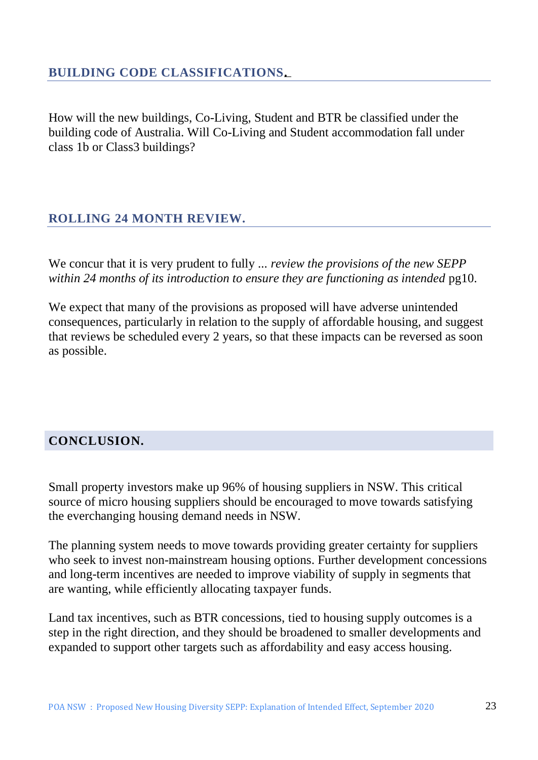How will the new buildings, Co-Living, Student and BTR be classified under the building code of Australia. Will Co-Living and Student accommodation fall under class 1b or Class3 buildings?

## **ROLLING 24 MONTH REVIEW.**

We concur that it is very prudent to fully ... *review the provisions of the new SEPP within 24 months of its introduction to ensure they are functioning as intended* pg10.

We expect that many of the provisions as proposed will have adverse unintended consequences, particularly in relation to the supply of affordable housing, and suggest that reviews be scheduled every 2 years, so that these impacts can be reversed as soon as possible.

### **CONCLUSION.**

Small property investors make up 96% of housing suppliers in NSW. This critical source of micro housing suppliers should be encouraged to move towards satisfying the everchanging housing demand needs in NSW.

The planning system needs to move towards providing greater certainty for suppliers who seek to invest non-mainstream housing options. Further development concessions and long-term incentives are needed to improve viability of supply in segments that are wanting, while efficiently allocating taxpayer funds.

Land tax incentives, such as BTR concessions, tied to housing supply outcomes is a step in the right direction, and they should be broadened to smaller developments and expanded to support other targets such as affordability and easy access housing.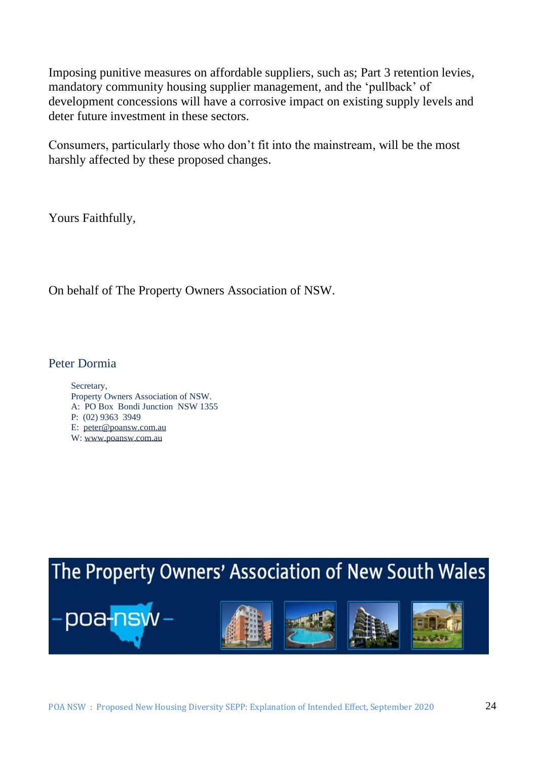Imposing punitive measures on affordable suppliers, such as; Part 3 retention levies, mandatory community housing supplier management, and the 'pullback' of development concessions will have a corrosive impact on existing supply levels and deter future investment in these sectors.

Consumers, particularly those who don't fit into the mainstream, will be the most harshly affected by these proposed changes.

Yours Faithfully,

On behalf of The Property Owners Association of NSW.

Peter Dormia

Secretary, Property Owners Association of NSW. A: PO Box Bondi Junction NSW 1355 P: (02) 9363 3949 E: [peter@poansw.com.au](mailto:peter@poansw.com.au) W: [www.poansw.com.au](http://www.poansw.com.au/)

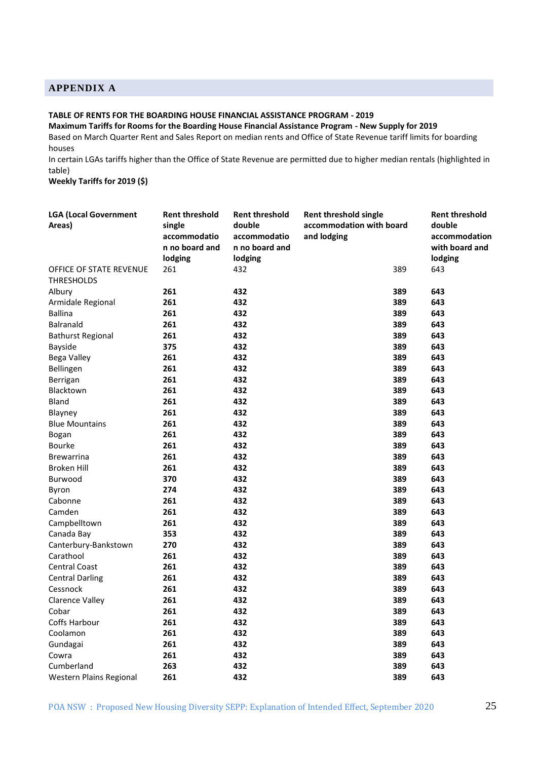#### **APPENDIX A**

#### **TABLE OF RENTS FOR THE BOARDING HOUSE FINANCIAL ASSISTANCE PROGRAM - 2019**

#### **Maximum Tariffs for Rooms for the Boarding House Financial Assistance Program - New Supply for 2019**

Based on March Quarter Rent and Sales Report on median rents and Office of State Revenue tariff limits for boarding houses

In certain LGAs tariffs higher than the Office of State Revenue are permitted due to higher median rentals (highlighted in table)

**Weekly Tariffs for 2019 (\$)**

| <b>LGA (Local Government</b><br>Areas)       | <b>Rent threshold</b><br>single<br>accommodatio | <b>Rent threshold</b><br>double<br>accommodatio | <b>Rent threshold single</b><br>accommodation with board<br>and lodging | <b>Rent threshold</b><br>double<br>accommodation |
|----------------------------------------------|-------------------------------------------------|-------------------------------------------------|-------------------------------------------------------------------------|--------------------------------------------------|
|                                              | n no board and                                  | n no board and                                  |                                                                         | with board and                                   |
| OFFICE OF STATE REVENUE<br><b>THRESHOLDS</b> | lodging<br>261                                  | lodging<br>432                                  | 389                                                                     | lodging<br>643                                   |
|                                              | 261                                             | 432                                             | 389                                                                     | 643                                              |
| Albury<br>Armidale Regional                  | 261                                             | 432                                             | 389                                                                     | 643                                              |
| <b>Ballina</b>                               | 261                                             | 432                                             | 389                                                                     | 643                                              |
| Balranald                                    | 261                                             | 432                                             | 389                                                                     | 643                                              |
|                                              | 261                                             | 432                                             |                                                                         |                                                  |
| <b>Bathurst Regional</b>                     |                                                 | 432                                             | 389                                                                     | 643                                              |
| <b>Bayside</b>                               | 375                                             |                                                 | 389                                                                     | 643                                              |
| Bega Valley                                  | 261                                             | 432                                             | 389                                                                     | 643                                              |
| Bellingen                                    | 261                                             | 432                                             | 389                                                                     | 643                                              |
| Berrigan                                     | 261                                             | 432                                             | 389                                                                     | 643                                              |
| Blacktown                                    | 261                                             | 432                                             | 389                                                                     | 643                                              |
| Bland                                        | 261                                             | 432                                             | 389                                                                     | 643                                              |
| Blayney                                      | 261                                             | 432                                             | 389                                                                     | 643                                              |
| <b>Blue Mountains</b>                        | 261                                             | 432                                             | 389                                                                     | 643                                              |
| Bogan                                        | 261                                             | 432                                             | 389                                                                     | 643                                              |
| <b>Bourke</b>                                | 261                                             | 432                                             | 389                                                                     | 643                                              |
| <b>Brewarrina</b>                            | 261                                             | 432                                             | 389                                                                     | 643                                              |
| <b>Broken Hill</b>                           | 261                                             | 432                                             | 389                                                                     | 643                                              |
| Burwood                                      | 370                                             | 432                                             | 389                                                                     | 643                                              |
| Byron                                        | 274                                             | 432                                             | 389                                                                     | 643                                              |
| Cabonne                                      | 261                                             | 432                                             | 389                                                                     | 643                                              |
| Camden                                       | 261                                             | 432                                             | 389                                                                     | 643                                              |
| Campbelltown                                 | 261                                             | 432                                             | 389                                                                     | 643                                              |
| Canada Bay                                   | 353                                             | 432                                             | 389                                                                     | 643                                              |
| Canterbury-Bankstown                         | 270                                             | 432                                             | 389                                                                     | 643                                              |
| Carathool                                    | 261                                             | 432                                             | 389                                                                     | 643                                              |
| <b>Central Coast</b>                         | 261                                             | 432                                             | 389                                                                     | 643                                              |
| <b>Central Darling</b>                       | 261                                             | 432                                             | 389                                                                     | 643                                              |
| Cessnock                                     | 261                                             | 432                                             | 389                                                                     | 643                                              |
| <b>Clarence Valley</b>                       | 261                                             | 432                                             | 389                                                                     | 643                                              |
| Cobar                                        | 261                                             | 432                                             | 389                                                                     | 643                                              |
| Coffs Harbour                                | 261                                             | 432                                             | 389                                                                     | 643                                              |
| Coolamon                                     | 261                                             | 432                                             | 389                                                                     | 643                                              |
| Gundagai                                     | 261                                             | 432                                             | 389                                                                     | 643                                              |
| Cowra                                        | 261                                             | 432                                             | 389                                                                     | 643                                              |
| Cumberland                                   | 263                                             | 432                                             | 389                                                                     | 643                                              |
| Western Plains Regional                      | 261                                             | 432                                             | 389                                                                     | 643                                              |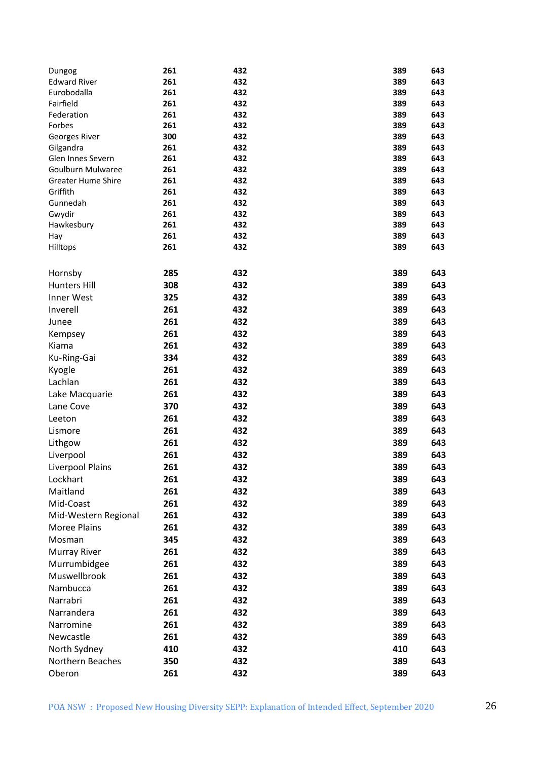| Dungog                    | 261        | 432        | 389        | 643        |
|---------------------------|------------|------------|------------|------------|
| <b>Edward River</b>       | 261        | 432        | 389        | 643        |
| Eurobodalla               | 261        | 432        | 389        | 643        |
| Fairfield                 | 261        | 432        | 389        | 643        |
| Federation                | 261        | 432        | 389        | 643        |
| Forbes                    | 261        | 432        | 389        | 643        |
| Georges River             | 300        | 432        | 389        | 643        |
| Gilgandra                 | 261        | 432        | 389        | 643        |
| Glen Innes Severn         | 261        | 432        | 389        | 643        |
| Goulburn Mulwaree         | 261        | 432        | 389        | 643        |
| <b>Greater Hume Shire</b> | 261        | 432        | 389        | 643        |
| Griffith                  | 261        | 432        | 389        | 643        |
| Gunnedah<br>Gwydir        | 261<br>261 | 432<br>432 | 389<br>389 | 643<br>643 |
| Hawkesbury                | 261        | 432        | 389        | 643        |
| Hay                       | 261        | 432        | 389        | 643        |
| Hilltops                  | 261        | 432        | 389        | 643        |
|                           |            |            |            |            |
|                           |            |            |            |            |
| Hornsby                   | 285        | 432        | 389        | 643        |
| <b>Hunters Hill</b>       | 308        | 432        | 389        | 643        |
| Inner West                | 325        | 432        | 389        | 643        |
| Inverell                  | 261        | 432        | 389        | 643        |
| Junee                     | 261        | 432        | 389        | 643        |
| Kempsey                   | 261        | 432        | 389        | 643        |
| Kiama                     | 261        | 432        | 389        | 643        |
| Ku-Ring-Gai               | 334        | 432        | 389        | 643        |
| Kyogle                    | 261        | 432        | 389        | 643        |
| Lachlan                   | 261        | 432        | 389        | 643        |
| Lake Macquarie            | 261        | 432        | 389        | 643        |
| Lane Cove                 | 370        | 432        | 389        | 643        |
| Leeton                    | 261        | 432        | 389        | 643        |
| Lismore                   | 261        | 432        | 389        | 643        |
| Lithgow                   | 261        | 432        | 389        | 643        |
| Liverpool                 | 261        | 432        | 389        | 643        |
| Liverpool Plains          | 261        | 432        | 389        | 643        |
| Lockhart                  | 261        | 432        | 389        | 643        |
| Maitland                  | 261        | 432        | 389        | 643        |
| Mid-Coast                 | 261        | 432        | 389        | 643        |
| Mid-Western Regional      | 261        | 432        | 389        | 643        |
| <b>Moree Plains</b>       | 261        | 432        | 389        | 643        |
|                           |            | 432        | 389        |            |
| Mosman                    | 345        |            |            | 643        |
| <b>Murray River</b>       | 261        | 432        | 389        | 643        |
| Murrumbidgee              | 261        | 432        | 389        | 643        |
| Muswellbrook              | 261        | 432        | 389        | 643        |
| Nambucca                  | 261        | 432        | 389        | 643        |
| Narrabri                  | 261        | 432        | 389        | 643        |
| Narrandera                | 261        | 432        | 389        | 643        |
| Narromine                 | 261        | 432        | 389        | 643        |
| Newcastle                 | 261        | 432        | 389        | 643        |
| North Sydney              | 410        | 432        | 410        | 643        |
| Northern Beaches          | 350        | 432        | 389        | 643        |
| Oberon                    | 261        | 432        | 389        | 643        |